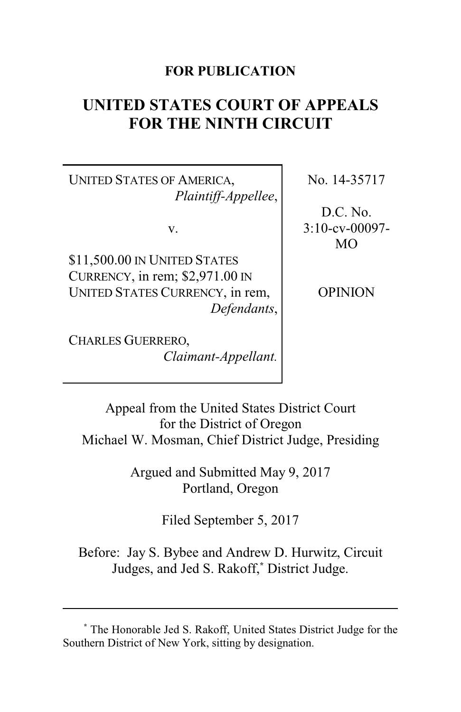## **FOR PUBLICATION**

# **UNITED STATES COURT OF APPEALS FOR THE NINTH CIRCUIT**

UNITED STATES OF AMERICA, *Plaintiff-Appellee*,

v.

\$11,500.00 IN UNITED STATES CURRENCY, in rem; \$2,971.00 IN UNITED STATES CURRENCY, in rem, *Defendants*,

CHARLES GUERRERO, *Claimant-Appellant.* No. 14-35717

D.C. No. 3:10-cv-00097- MO

**OPINION** 

Appeal from the United States District Court for the District of Oregon Michael W. Mosman, Chief District Judge, Presiding

> Argued and Submitted May 9, 2017 Portland, Oregon

> > Filed September 5, 2017

Before: Jay S. Bybee and Andrew D. Hurwitz, Circuit Judges, and Jed S. Rakoff,**\*** District Judge.

**<sup>\*</sup>** The Honorable Jed S. Rakoff, United States District Judge for the Southern District of New York, sitting by designation.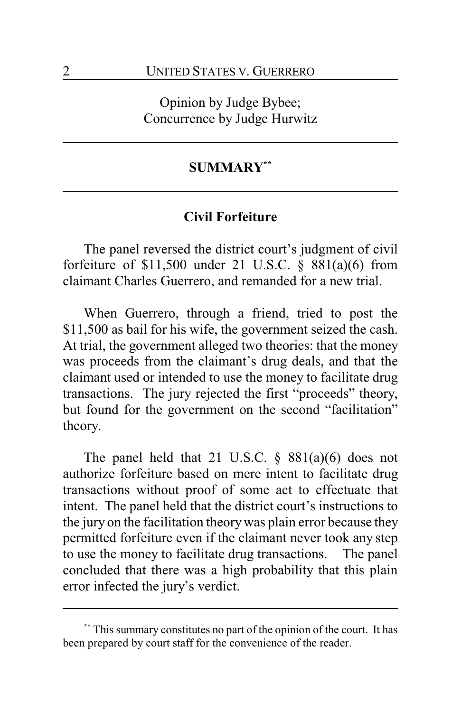Opinion by Judge Bybee; Concurrence by Judge Hurwitz

## **SUMMARY\*\***

## **Civil Forfeiture**

The panel reversed the district court's judgment of civil forfeiture of  $$11,500$  under 21 U.S.C.  $§$   $881(a)(6)$  from claimant Charles Guerrero, and remanded for a new trial.

When Guerrero, through a friend, tried to post the \$11,500 as bail for his wife, the government seized the cash. At trial, the government alleged two theories: that the money was proceeds from the claimant's drug deals, and that the claimant used or intended to use the money to facilitate drug transactions. The jury rejected the first "proceeds" theory, but found for the government on the second "facilitation" theory.

The panel held that 21 U.S.C. § 881(a)(6) does not authorize forfeiture based on mere intent to facilitate drug transactions without proof of some act to effectuate that intent. The panel held that the district court's instructions to the jury on the facilitation theorywas plain error because they permitted forfeiture even if the claimant never took any step to use the money to facilitate drug transactions. The panel concluded that there was a high probability that this plain error infected the jury's verdict.

This summary constitutes no part of the opinion of the court. It has been prepared by court staff for the convenience of the reader.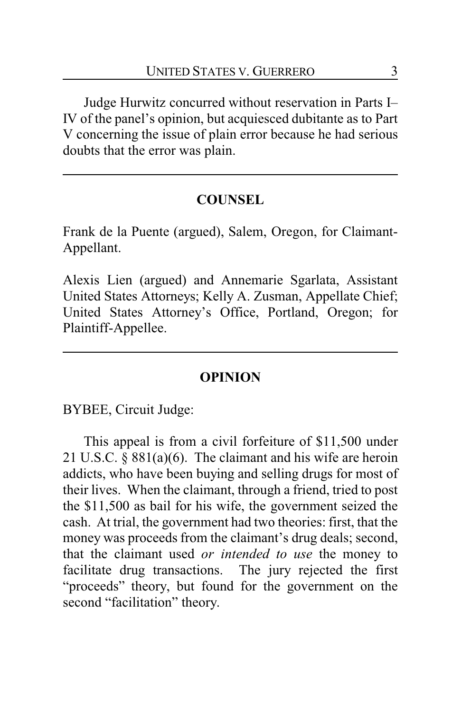Judge Hurwitz concurred without reservation in Parts I– IV of the panel's opinion, but acquiesced dubitante as to Part V concerning the issue of plain error because he had serious doubts that the error was plain.

# **COUNSEL**

Frank de la Puente (argued), Salem, Oregon, for Claimant-Appellant.

Alexis Lien (argued) and Annemarie Sgarlata, Assistant United States Attorneys; Kelly A. Zusman, Appellate Chief; United States Attorney's Office, Portland, Oregon; for Plaintiff-Appellee.

## **OPINION**

BYBEE, Circuit Judge:

This appeal is from a civil forfeiture of \$11,500 under 21 U.S.C. § 881(a)(6). The claimant and his wife are heroin addicts, who have been buying and selling drugs for most of their lives. When the claimant, through a friend, tried to post the \$11,500 as bail for his wife, the government seized the cash. At trial, the government had two theories: first, that the money was proceeds from the claimant's drug deals; second, that the claimant used *or intended to use* the money to facilitate drug transactions. The jury rejected the first "proceeds" theory, but found for the government on the second "facilitation" theory.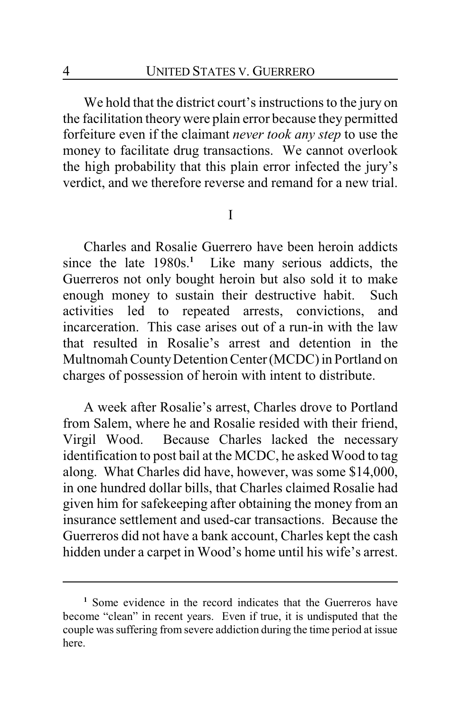We hold that the district court's instructions to the jury on the facilitation theory were plain error because they permitted forfeiture even if the claimant *never took any step* to use the money to facilitate drug transactions. We cannot overlook the high probability that this plain error infected the jury's verdict, and we therefore reverse and remand for a new trial.

I

Charles and Rosalie Guerrero have been heroin addicts since the late 1980s.<sup>1</sup> Like many serious addicts, the Guerreros not only bought heroin but also sold it to make enough money to sustain their destructive habit. Such activities led to repeated arrests, convictions, and incarceration. This case arises out of a run-in with the law that resulted in Rosalie's arrest and detention in the Multnomah CountyDetention Center(MCDC) in Portland on charges of possession of heroin with intent to distribute.

A week after Rosalie's arrest, Charles drove to Portland from Salem, where he and Rosalie resided with their friend, Virgil Wood. Because Charles lacked the necessary identification to post bail at the MCDC, he asked Wood to tag along. What Charles did have, however, was some \$14,000, in one hundred dollar bills, that Charles claimed Rosalie had given him for safekeeping after obtaining the money from an insurance settlement and used-car transactions. Because the Guerreros did not have a bank account, Charles kept the cash hidden under a carpet in Wood's home until his wife's arrest.

**<sup>1</sup>** Some evidence in the record indicates that the Guerreros have become "clean" in recent years. Even if true, it is undisputed that the couple was suffering from severe addiction during the time period at issue here.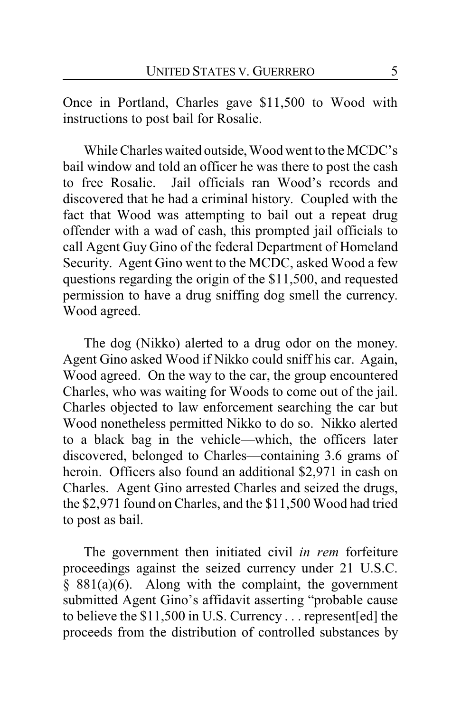Once in Portland, Charles gave \$11,500 to Wood with instructions to post bail for Rosalie.

While Charles waited outside, Wood went to the MCDC's bail window and told an officer he was there to post the cash to free Rosalie. Jail officials ran Wood's records and discovered that he had a criminal history. Coupled with the fact that Wood was attempting to bail out a repeat drug offender with a wad of cash, this prompted jail officials to call Agent Guy Gino of the federal Department of Homeland Security. Agent Gino went to the MCDC, asked Wood a few questions regarding the origin of the \$11,500, and requested permission to have a drug sniffing dog smell the currency. Wood agreed.

The dog (Nikko) alerted to a drug odor on the money. Agent Gino asked Wood if Nikko could sniff his car. Again, Wood agreed. On the way to the car, the group encountered Charles, who was waiting for Woods to come out of the jail. Charles objected to law enforcement searching the car but Wood nonetheless permitted Nikko to do so. Nikko alerted to a black bag in the vehicle—which, the officers later discovered, belonged to Charles—containing 3.6 grams of heroin. Officers also found an additional \$2,971 in cash on Charles. Agent Gino arrested Charles and seized the drugs, the \$2,971 found on Charles, and the \$11,500 Wood had tried to post as bail.

The government then initiated civil *in rem* forfeiture proceedings against the seized currency under 21 U.S.C.  $§$  881(a)(6). Along with the complaint, the government submitted Agent Gino's affidavit asserting "probable cause to believe the \$11,500 in U.S. Currency . . . represent[ed] the proceeds from the distribution of controlled substances by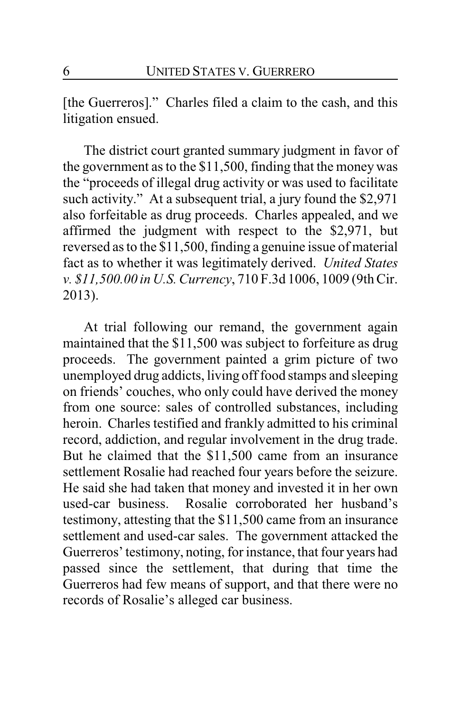[the Guerreros]." Charles filed a claim to the cash, and this litigation ensued.

The district court granted summary judgment in favor of the government as to the \$11,500, finding that the money was the "proceeds of illegal drug activity or was used to facilitate such activity." At a subsequent trial, a jury found the \$2,971 also forfeitable as drug proceeds. Charles appealed, and we affirmed the judgment with respect to the \$2,971, but reversed as to the \$11,500, finding a genuine issue of material fact as to whether it was legitimately derived. *United States v. \$11,500.00 in U.S. Currency*, 710 F.3d 1006, 1009 (9th Cir. 2013).

At trial following our remand, the government again maintained that the \$11,500 was subject to forfeiture as drug proceeds. The government painted a grim picture of two unemployed drug addicts, living off food stamps and sleeping on friends' couches, who only could have derived the money from one source: sales of controlled substances, including heroin. Charles testified and frankly admitted to his criminal record, addiction, and regular involvement in the drug trade. But he claimed that the \$11,500 came from an insurance settlement Rosalie had reached four years before the seizure. He said she had taken that money and invested it in her own used-car business. Rosalie corroborated her husband's testimony, attesting that the \$11,500 came from an insurance settlement and used-car sales. The government attacked the Guerreros' testimony, noting, for instance, that four years had passed since the settlement, that during that time the Guerreros had few means of support, and that there were no records of Rosalie's alleged car business.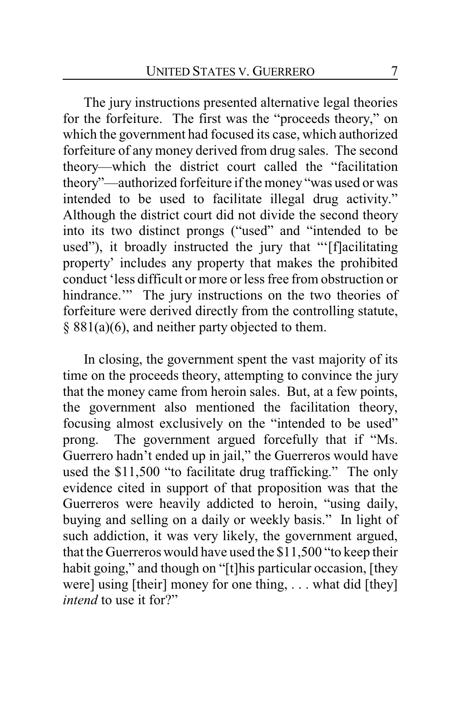The jury instructions presented alternative legal theories for the forfeiture. The first was the "proceeds theory," on which the government had focused its case, which authorized forfeiture of any money derived from drug sales. The second theory—which the district court called the "facilitation theory"—authorized forfeiture if the money "was used or was intended to be used to facilitate illegal drug activity." Although the district court did not divide the second theory into its two distinct prongs ("used" and "intended to be used"), it broadly instructed the jury that "'[f]acilitating property' includes any property that makes the prohibited conduct 'less difficult or more or less free from obstruction or hindrance." The jury instructions on the two theories of forfeiture were derived directly from the controlling statute, § 881(a)(6), and neither party objected to them.

In closing, the government spent the vast majority of its time on the proceeds theory, attempting to convince the jury that the money came from heroin sales. But, at a few points, the government also mentioned the facilitation theory, focusing almost exclusively on the "intended to be used" prong. The government argued forcefully that if "Ms. Guerrero hadn't ended up in jail," the Guerreros would have used the \$11,500 "to facilitate drug trafficking." The only evidence cited in support of that proposition was that the Guerreros were heavily addicted to heroin, "using daily, buying and selling on a daily or weekly basis." In light of such addiction, it was very likely, the government argued, that the Guerreros would have used the \$11,500 "to keep their habit going," and though on "[t]his particular occasion, [they were] using [their] money for one thing, . . . what did [they] *intend* to use it for?"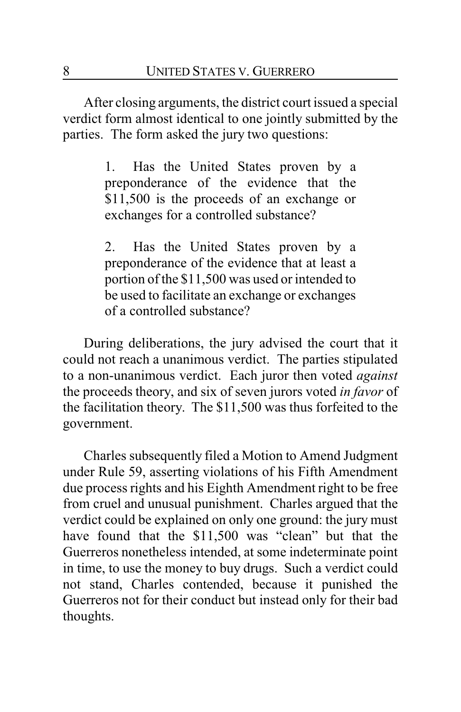After closing arguments, the district court issued a special verdict form almost identical to one jointly submitted by the parties. The form asked the jury two questions:

> 1. Has the United States proven by a preponderance of the evidence that the \$11,500 is the proceeds of an exchange or exchanges for a controlled substance?

> 2. Has the United States proven by a preponderance of the evidence that at least a portion of the \$11,500 was used or intended to be used to facilitate an exchange or exchanges of a controlled substance?

During deliberations, the jury advised the court that it could not reach a unanimous verdict. The parties stipulated to a non-unanimous verdict. Each juror then voted *against* the proceeds theory, and six of seven jurors voted *in favor* of the facilitation theory. The \$11,500 was thus forfeited to the government.

Charles subsequently filed a Motion to Amend Judgment under Rule 59, asserting violations of his Fifth Amendment due process rights and his Eighth Amendment right to be free from cruel and unusual punishment. Charles argued that the verdict could be explained on only one ground: the jury must have found that the \$11,500 was "clean" but that the Guerreros nonetheless intended, at some indeterminate point in time, to use the money to buy drugs. Such a verdict could not stand, Charles contended, because it punished the Guerreros not for their conduct but instead only for their bad thoughts.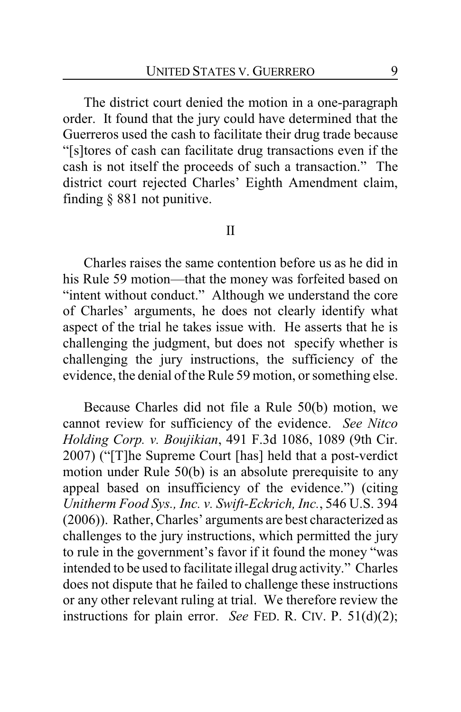The district court denied the motion in a one-paragraph order. It found that the jury could have determined that the Guerreros used the cash to facilitate their drug trade because "[s]tores of cash can facilitate drug transactions even if the cash is not itself the proceeds of such a transaction." The district court rejected Charles' Eighth Amendment claim, finding § 881 not punitive.

#### II

Charles raises the same contention before us as he did in his Rule 59 motion—that the money was forfeited based on "intent without conduct." Although we understand the core of Charles' arguments, he does not clearly identify what aspect of the trial he takes issue with. He asserts that he is challenging the judgment, but does not specify whether is challenging the jury instructions, the sufficiency of the evidence, the denial of the Rule 59 motion, or something else.

Because Charles did not file a Rule 50(b) motion, we cannot review for sufficiency of the evidence. *See Nitco Holding Corp. v. Boujikian*, 491 F.3d 1086, 1089 (9th Cir. 2007) ("[T]he Supreme Court [has] held that a post-verdict motion under Rule 50(b) is an absolute prerequisite to any appeal based on insufficiency of the evidence.") (citing *Unitherm Food Sys., Inc. v. Swift-Eckrich, Inc.*, 546 U.S. 394 (2006)). Rather, Charles' arguments are best characterized as challenges to the jury instructions, which permitted the jury to rule in the government's favor if it found the money "was intended to be used to facilitate illegal drug activity." Charles does not dispute that he failed to challenge these instructions or any other relevant ruling at trial. We therefore review the instructions for plain error. *See* FED. R. CIV. P. 51(d)(2);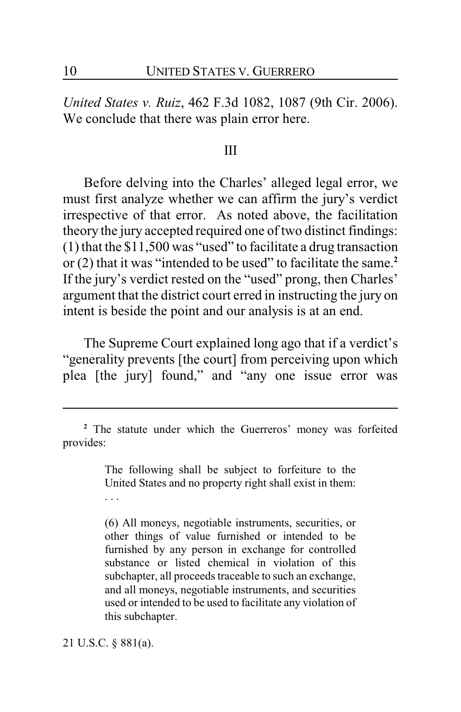*United States v. Ruiz*, 462 F.3d 1082, 1087 (9th Cir. 2006). We conclude that there was plain error here.

#### III

Before delving into the Charles' alleged legal error, we must first analyze whether we can affirm the jury's verdict irrespective of that error. As noted above, the facilitation theory the jury accepted required one of two distinct findings: (1) that the \$11,500 was "used" to facilitate a drug transaction or (2) that it was "intended to be used" to facilitate the same.**<sup>2</sup>** If the jury's verdict rested on the "used" prong, then Charles' argument that the district court erred in instructing the jury on intent is beside the point and our analysis is at an end.

The Supreme Court explained long ago that if a verdict's "generality prevents [the court] from perceiving upon which plea [the jury] found," and "any one issue error was

The following shall be subject to forfeiture to the United States and no property right shall exist in them: . . .

(6) All moneys, negotiable instruments, securities, or other things of value furnished or intended to be furnished by any person in exchange for controlled substance or listed chemical in violation of this subchapter, all proceeds traceable to such an exchange, and all moneys, negotiable instruments, and securities used or intended to be used to facilitate any violation of this subchapter.

21 U.S.C. § 881(a).

**<sup>2</sup>** The statute under which the Guerreros' money was forfeited provides: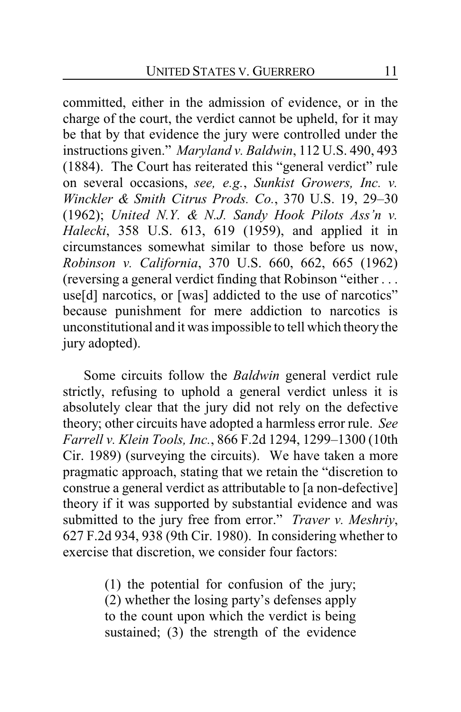committed, either in the admission of evidence, or in the charge of the court, the verdict cannot be upheld, for it may be that by that evidence the jury were controlled under the instructions given." *Maryland v. Baldwin*, 112 U.S. 490, 493 (1884). The Court has reiterated this "general verdict" rule on several occasions, *see, e.g.*, *Sunkist Growers, Inc. v. Winckler & Smith Citrus Prods. Co.*, 370 U.S. 19, 29–30 (1962); *United N.Y. & N.J. Sandy Hook Pilots Ass'n v. Halecki*, 358 U.S. 613, 619 (1959), and applied it in circumstances somewhat similar to those before us now, *Robinson v. California*, 370 U.S. 660, 662, 665 (1962) (reversing a general verdict finding that Robinson "either . . . use<sup>[d]</sup> narcotics, or [was] addicted to the use of narcotics" because punishment for mere addiction to narcotics is unconstitutional and it was impossible to tell which theory the jury adopted).

Some circuits follow the *Baldwin* general verdict rule strictly, refusing to uphold a general verdict unless it is absolutely clear that the jury did not rely on the defective theory; other circuits have adopted a harmless error rule. *See Farrell v. Klein Tools, Inc.*, 866 F.2d 1294, 1299–1300 (10th Cir. 1989) (surveying the circuits). We have taken a more pragmatic approach, stating that we retain the "discretion to construe a general verdict as attributable to [a non-defective] theory if it was supported by substantial evidence and was submitted to the jury free from error." *Traver v. Meshriy*, 627 F.2d 934, 938 (9th Cir. 1980). In considering whether to exercise that discretion, we consider four factors:

> (1) the potential for confusion of the jury; (2) whether the losing party's defenses apply to the count upon which the verdict is being sustained; (3) the strength of the evidence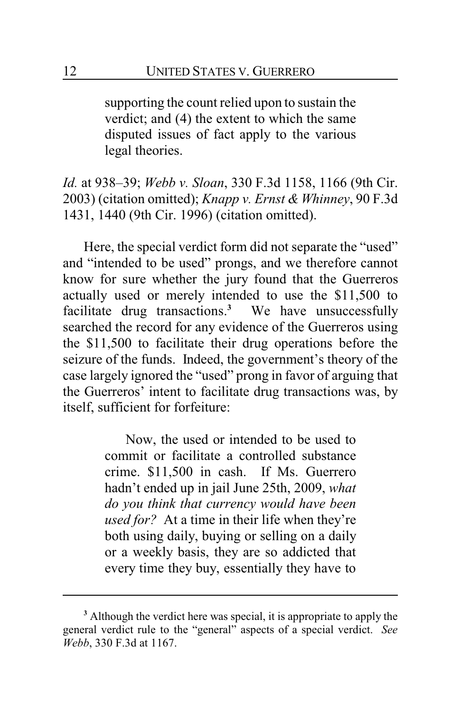supporting the count relied upon to sustain the verdict; and (4) the extent to which the same disputed issues of fact apply to the various legal theories.

*Id.* at 938–39; *Webb v. Sloan*, 330 F.3d 1158, 1166 (9th Cir. 2003) (citation omitted); *Knapp v. Ernst & Whinney*, 90 F.3d 1431, 1440 (9th Cir. 1996) (citation omitted).

Here, the special verdict form did not separate the "used" and "intended to be used" prongs, and we therefore cannot know for sure whether the jury found that the Guerreros actually used or merely intended to use the \$11,500 to facilitate drug transactions. **<sup>3</sup>** We have unsuccessfully searched the record for any evidence of the Guerreros using the \$11,500 to facilitate their drug operations before the seizure of the funds. Indeed, the government's theory of the case largely ignored the "used" prong in favor of arguing that the Guerreros' intent to facilitate drug transactions was, by itself, sufficient for forfeiture:

> Now, the used or intended to be used to commit or facilitate a controlled substance crime. \$11,500 in cash. If Ms. Guerrero hadn't ended up in jail June 25th, 2009, *what do you think that currency would have been used for?* At a time in their life when they're both using daily, buying or selling on a daily or a weekly basis, they are so addicted that every time they buy, essentially they have to

**<sup>3</sup>** Although the verdict here was special, it is appropriate to apply the general verdict rule to the "general" aspects of a special verdict. *See Webb*, 330 F.3d at 1167.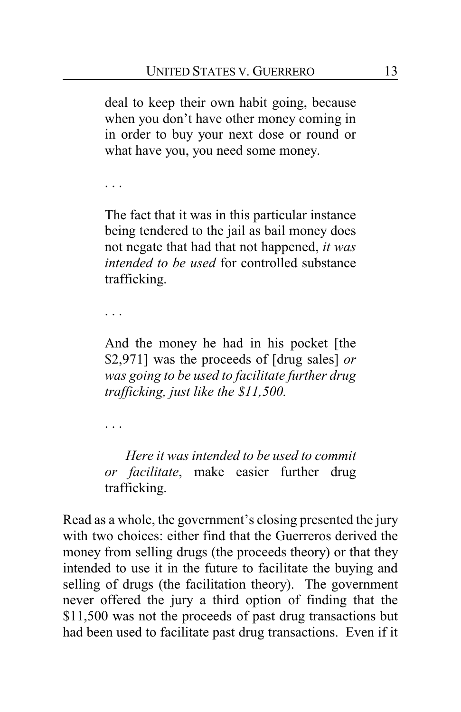deal to keep their own habit going, because when you don't have other money coming in in order to buy your next dose or round or what have you, you need some money.

. . .

The fact that it was in this particular instance being tendered to the jail as bail money does not negate that had that not happened, *it was intended to be used* for controlled substance trafficking.

. . .

And the money he had in his pocket [the \$2,971] was the proceeds of [drug sales] *or was going to be used to facilitate further drug trafficking, just like the \$11,500.*

. . .

*Here it was intended to be used to commit or facilitate*, make easier further drug trafficking.

Read as a whole, the government's closing presented the jury with two choices: either find that the Guerreros derived the money from selling drugs (the proceeds theory) or that they intended to use it in the future to facilitate the buying and selling of drugs (the facilitation theory). The government never offered the jury a third option of finding that the \$11,500 was not the proceeds of past drug transactions but had been used to facilitate past drug transactions. Even if it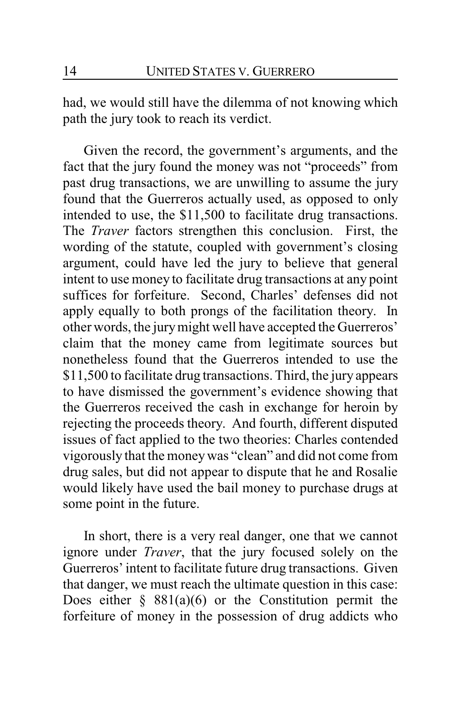had, we would still have the dilemma of not knowing which path the jury took to reach its verdict.

Given the record, the government's arguments, and the fact that the jury found the money was not "proceeds" from past drug transactions, we are unwilling to assume the jury found that the Guerreros actually used, as opposed to only intended to use, the \$11,500 to facilitate drug transactions. The *Traver* factors strengthen this conclusion. First, the wording of the statute, coupled with government's closing argument, could have led the jury to believe that general intent to use money to facilitate drug transactions at any point suffices for forfeiture. Second, Charles' defenses did not apply equally to both prongs of the facilitation theory. In other words, the jurymight well have accepted the Guerreros' claim that the money came from legitimate sources but nonetheless found that the Guerreros intended to use the \$11,500 to facilitate drug transactions. Third, the jury appears to have dismissed the government's evidence showing that the Guerreros received the cash in exchange for heroin by rejecting the proceeds theory. And fourth, different disputed issues of fact applied to the two theories: Charles contended vigorously that the moneywas "clean" and did not come from drug sales, but did not appear to dispute that he and Rosalie would likely have used the bail money to purchase drugs at some point in the future.

In short, there is a very real danger, one that we cannot ignore under *Traver*, that the jury focused solely on the Guerreros' intent to facilitate future drug transactions. Given that danger, we must reach the ultimate question in this case: Does either  $\S$  881(a)(6) or the Constitution permit the forfeiture of money in the possession of drug addicts who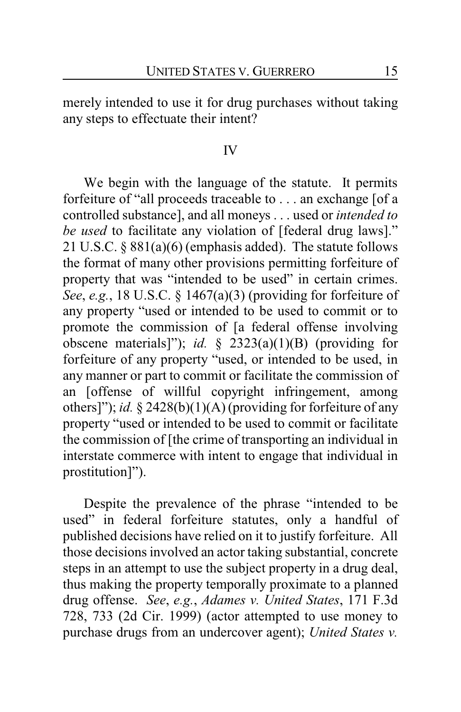merely intended to use it for drug purchases without taking any steps to effectuate their intent?

#### IV

We begin with the language of the statute. It permits forfeiture of "all proceeds traceable to . . . an exchange [of a controlled substance], and all moneys . . . used or *intended to be used* to facilitate any violation of [federal drug laws]." 21 U.S.C. § 881(a)(6) (emphasis added). The statute follows the format of many other provisions permitting forfeiture of property that was "intended to be used" in certain crimes. *See*, *e.g.*, 18 U.S.C. § 1467(a)(3) (providing for forfeiture of any property "used or intended to be used to commit or to promote the commission of [a federal offense involving obscene materials]"); *id.* § 2323(a)(1)(B) (providing for forfeiture of any property "used, or intended to be used, in any manner or part to commit or facilitate the commission of an [offense of willful copyright infringement, among others]"); *id.* § 2428(b)(1)(A) (providing for forfeiture of any property "used or intended to be used to commit or facilitate the commission of [the crime of transporting an individual in interstate commerce with intent to engage that individual in prostitution]").

Despite the prevalence of the phrase "intended to be used" in federal forfeiture statutes, only a handful of published decisions have relied on it to justify forfeiture. All those decisions involved an actor taking substantial, concrete steps in an attempt to use the subject property in a drug deal, thus making the property temporally proximate to a planned drug offense. *See*, *e.g.*, *Adames v. United States*, 171 F.3d 728, 733 (2d Cir. 1999) (actor attempted to use money to purchase drugs from an undercover agent); *United States v.*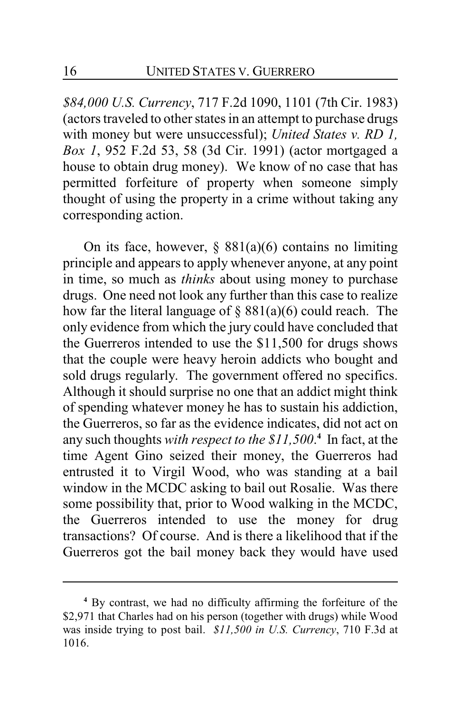*\$84,000 U.S. Currency*, 717 F.2d 1090, 1101 (7th Cir. 1983) (actors traveled to other states in an attempt to purchase drugs with money but were unsuccessful); *United States v. RD 1, Box 1*, 952 F.2d 53, 58 (3d Cir. 1991) (actor mortgaged a house to obtain drug money). We know of no case that has permitted forfeiture of property when someone simply thought of using the property in a crime without taking any corresponding action.

On its face, however,  $\S$  881(a)(6) contains no limiting principle and appears to apply whenever anyone, at any point in time, so much as *thinks* about using money to purchase drugs. One need not look any further than this case to realize how far the literal language of  $\S$  881(a)(6) could reach. The only evidence from which the jury could have concluded that the Guerreros intended to use the \$11,500 for drugs shows that the couple were heavy heroin addicts who bought and sold drugs regularly. The government offered no specifics. Although it should surprise no one that an addict might think of spending whatever money he has to sustain his addiction, the Guerreros, so far as the evidence indicates, did not act on any such thoughts *with respect to the \$11,500*. **4** In fact, at the time Agent Gino seized their money, the Guerreros had entrusted it to Virgil Wood, who was standing at a bail window in the MCDC asking to bail out Rosalie. Was there some possibility that, prior to Wood walking in the MCDC, the Guerreros intended to use the money for drug transactions? Of course. And is there a likelihood that if the Guerreros got the bail money back they would have used

**<sup>4</sup>** By contrast, we had no difficulty affirming the forfeiture of the \$2,971 that Charles had on his person (together with drugs) while Wood was inside trying to post bail. *\$11,500 in U.S. Currency*, 710 F.3d at 1016.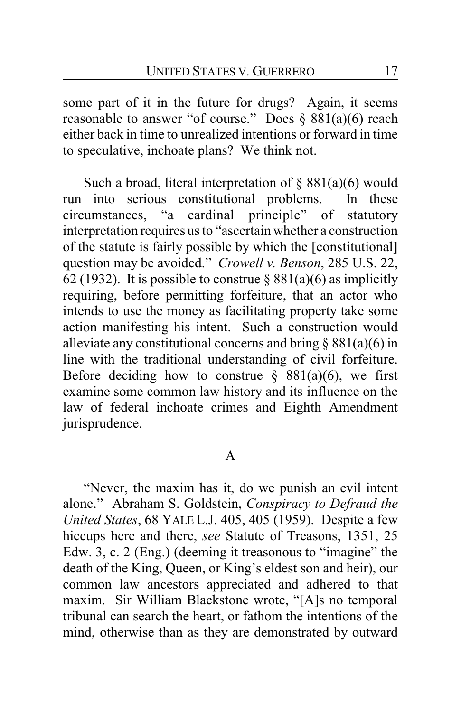some part of it in the future for drugs? Again, it seems reasonable to answer "of course." Does  $\S$  881(a)(6) reach either back in time to unrealized intentions or forward in time to speculative, inchoate plans? We think not.

Such a broad, literal interpretation of  $\S$  881(a)(6) would run into serious constitutional problems. In these circumstances, "a cardinal principle" of statutory interpretation requires us to "ascertain whether a construction of the statute is fairly possible by which the [constitutional] question may be avoided." *Crowell v. Benson*, 285 U.S. 22, 62 (1932). It is possible to construe  $\S 881(a)(6)$  as implicitly requiring, before permitting forfeiture, that an actor who intends to use the money as facilitating property take some action manifesting his intent. Such a construction would alleviate any constitutional concerns and bring  $\S 881(a)(6)$  in line with the traditional understanding of civil forfeiture. Before deciding how to construe  $\S$  881(a)(6), we first examine some common law history and its influence on the law of federal inchoate crimes and Eighth Amendment jurisprudence.

## A

"Never, the maxim has it, do we punish an evil intent alone." Abraham S. Goldstein, *Conspiracy to Defraud the United States*, 68 YALE L.J. 405, 405 (1959). Despite a few hiccups here and there, *see* Statute of Treasons, 1351, 25 Edw. 3, c. 2 (Eng.) (deeming it treasonous to "imagine" the death of the King, Queen, or King's eldest son and heir), our common law ancestors appreciated and adhered to that maxim. Sir William Blackstone wrote, "[A]s no temporal tribunal can search the heart, or fathom the intentions of the mind, otherwise than as they are demonstrated by outward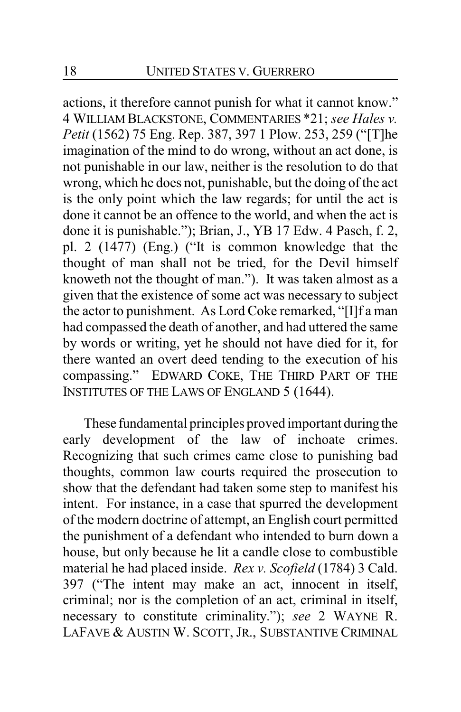actions, it therefore cannot punish for what it cannot know." 4 WILLIAM BLACKSTONE, COMMENTARIES \*21; *see Hales v. Petit* (1562) 75 Eng. Rep. 387, 397 1 Plow. 253, 259 ("[T]he imagination of the mind to do wrong, without an act done, is not punishable in our law, neither is the resolution to do that wrong, which he does not, punishable, but the doing of the act is the only point which the law regards; for until the act is done it cannot be an offence to the world, and when the act is done it is punishable."); Brian, J., YB 17 Edw. 4 Pasch, f. 2, pl. 2 (1477) (Eng.) ("It is common knowledge that the thought of man shall not be tried, for the Devil himself knoweth not the thought of man."). It was taken almost as a given that the existence of some act was necessary to subject the actor to punishment. As Lord Coke remarked, "[I]f a man had compassed the death of another, and had uttered the same by words or writing, yet he should not have died for it, for there wanted an overt deed tending to the execution of his compassing." EDWARD COKE, THE THIRD PART OF THE INSTITUTES OF THE LAWS OF ENGLAND 5 (1644).

These fundamental principles proved important during the early development of the law of inchoate crimes. Recognizing that such crimes came close to punishing bad thoughts, common law courts required the prosecution to show that the defendant had taken some step to manifest his intent. For instance, in a case that spurred the development of the modern doctrine of attempt, an English court permitted the punishment of a defendant who intended to burn down a house, but only because he lit a candle close to combustible material he had placed inside. *Rex v. Scofield* (1784) 3 Cald. 397 ("The intent may make an act, innocent in itself, criminal; nor is the completion of an act, criminal in itself, necessary to constitute criminality."); *see* 2 WAYNE R. LAFAVE & AUSTIN W. SCOTT, JR., SUBSTANTIVE CRIMINAL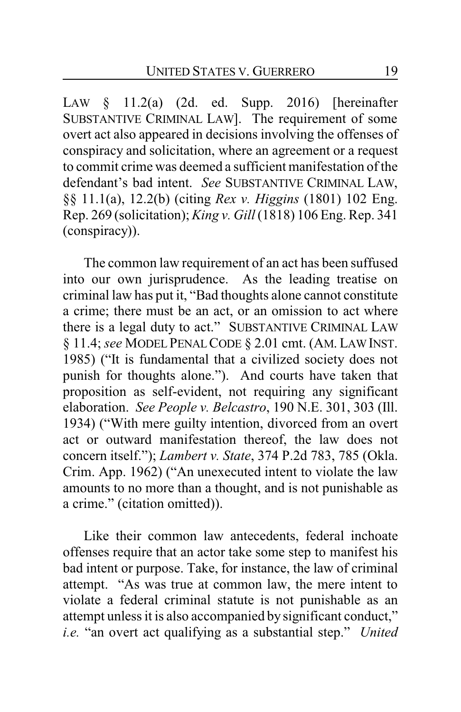LAW § 11.2(a) (2d. ed. Supp. 2016) [hereinafter SUBSTANTIVE CRIMINAL LAW]. The requirement of some overt act also appeared in decisions involving the offenses of conspiracy and solicitation, where an agreement or a request to commit crime was deemed a sufficient manifestation of the defendant's bad intent. *See* SUBSTANTIVE CRIMINAL LAW, §§ 11.1(a), 12.2(b) (citing *Rex v. Higgins* (1801) 102 Eng. Rep. 269 (solicitation); *King v. Gill* (1818) 106 Eng. Rep. 341 (conspiracy)).

The common law requirement of an act has been suffused into our own jurisprudence. As the leading treatise on criminal law has put it, "Bad thoughts alone cannot constitute a crime; there must be an act, or an omission to act where there is a legal duty to act." SUBSTANTIVE CRIMINAL LAW § 11.4; *see* MODEL PENALCODE § 2.01 cmt. (AM. LAWINST. 1985) ("It is fundamental that a civilized society does not punish for thoughts alone."). And courts have taken that proposition as self-evident, not requiring any significant elaboration. *See People v. Belcastro*, 190 N.E. 301, 303 (Ill. 1934) ("With mere guilty intention, divorced from an overt act or outward manifestation thereof, the law does not concern itself."); *Lambert v. State*, 374 P.2d 783, 785 (Okla. Crim. App. 1962) ("An unexecuted intent to violate the law amounts to no more than a thought, and is not punishable as a crime." (citation omitted)).

Like their common law antecedents, federal inchoate offenses require that an actor take some step to manifest his bad intent or purpose. Take, for instance, the law of criminal attempt. "As was true at common law, the mere intent to violate a federal criminal statute is not punishable as an attempt unless it is also accompanied by significant conduct," *i.e.* "an overt act qualifying as a substantial step." *United*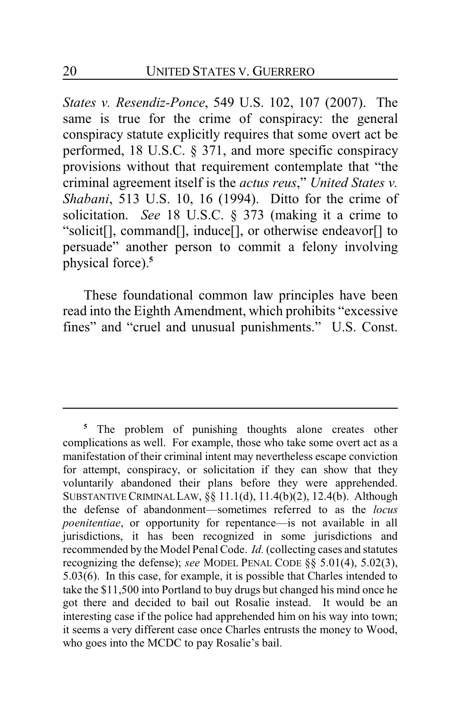*States v. Resendiz-Ponce*, 549 U.S. 102, 107 (2007). The same is true for the crime of conspiracy: the general conspiracy statute explicitly requires that some overt act be performed, 18 U.S.C. § 371, and more specific conspiracy provisions without that requirement contemplate that "the criminal agreement itself is the *actus reus*," *United States v. Shabani*, 513 U.S. 10, 16 (1994). Ditto for the crime of solicitation. *See* 18 U.S.C. § 373 (making it a crime to "solicit[], command[], induce[], or otherwise endeavor[] to persuade" another person to commit a felony involving physical force).**<sup>5</sup>**

These foundational common law principles have been read into the Eighth Amendment, which prohibits "excessive fines" and "cruel and unusual punishments." U.S. Const.

**<sup>5</sup>** The problem of punishing thoughts alone creates other complications as well. For example, those who take some overt act as a manifestation of their criminal intent may nevertheless escape conviction for attempt, conspiracy, or solicitation if they can show that they voluntarily abandoned their plans before they were apprehended. SUBSTANTIVE CRIMINAL LAW,  $\S$ § 11.1(d), 11.4(b)(2), 12.4(b). Although the defense of abandonment—sometimes referred to as the *locus poenitentiae*, or opportunity for repentance—is not available in all jurisdictions, it has been recognized in some jurisdictions and recommended by the Model Penal Code. *Id.* (collecting cases and statutes recognizing the defense); *see* MODEL PENAL CODE §§ 5.01(4), 5.02(3), 5.03(6). In this case, for example, it is possible that Charles intended to take the \$11,500 into Portland to buy drugs but changed his mind once he got there and decided to bail out Rosalie instead. It would be an interesting case if the police had apprehended him on his way into town; it seems a very different case once Charles entrusts the money to Wood, who goes into the MCDC to pay Rosalie's bail.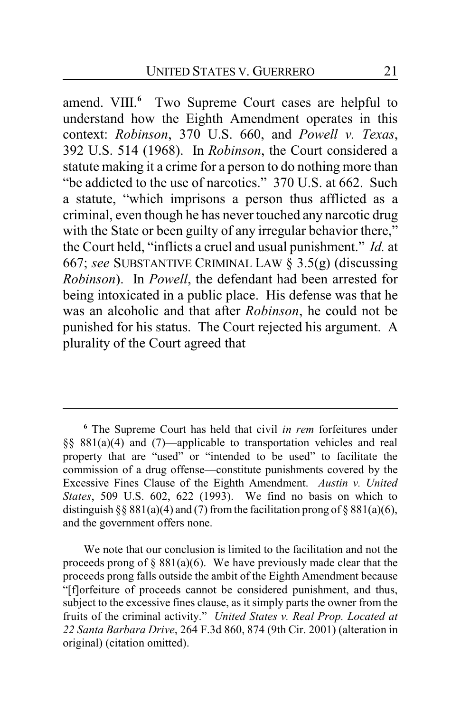amend. VIII. **<sup>6</sup>** Two Supreme Court cases are helpful to understand how the Eighth Amendment operates in this context: *Robinson*, 370 U.S. 660, and *Powell v. Texas*, 392 U.S. 514 (1968). In *Robinson*, the Court considered a statute making it a crime for a person to do nothing more than "be addicted to the use of narcotics." 370 U.S. at 662. Such a statute, "which imprisons a person thus afflicted as a criminal, even though he has never touched any narcotic drug with the State or been guilty of any irregular behavior there," the Court held, "inflicts a cruel and usual punishment." *Id.* at 667; *see* SUBSTANTIVE CRIMINAL LAW § 3.5(g) (discussing *Robinson*). In *Powell*, the defendant had been arrested for being intoxicated in a public place. His defense was that he was an alcoholic and that after *Robinson*, he could not be punished for his status. The Court rejected his argument. A plurality of the Court agreed that

**<sup>6</sup>** The Supreme Court has held that civil *in rem* forfeitures under §§ 881(a)(4) and (7)—applicable to transportation vehicles and real property that are "used" or "intended to be used" to facilitate the commission of a drug offense—constitute punishments covered by the Excessive Fines Clause of the Eighth Amendment. *Austin v. United States*, 509 U.S. 602, 622 (1993). We find no basis on which to distinguish §§ 881(a)(4) and (7) from the facilitation prong of § 881(a)(6), and the government offers none.

We note that our conclusion is limited to the facilitation and not the proceeds prong of  $\S 881(a)(6)$ . We have previously made clear that the proceeds prong falls outside the ambit of the Eighth Amendment because "[f]orfeiture of proceeds cannot be considered punishment, and thus, subject to the excessive fines clause, as it simply parts the owner from the fruits of the criminal activity." *United States v. Real Prop. Located at 22 Santa Barbara Drive*, 264 F.3d 860, 874 (9th Cir. 2001) (alteration in original) (citation omitted).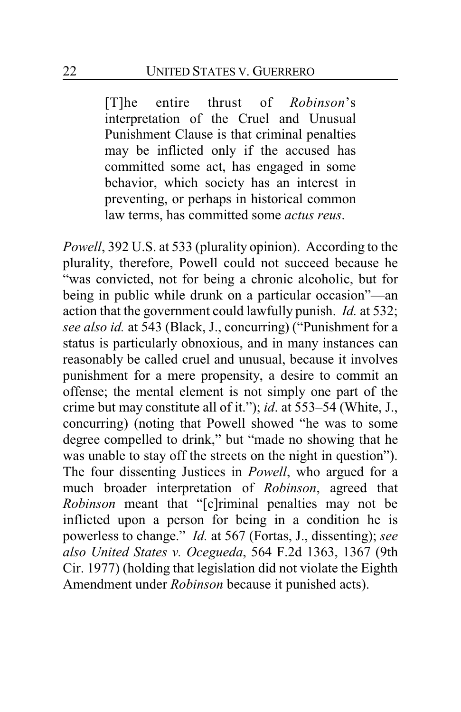[T]he entire thrust of *Robinson*'s interpretation of the Cruel and Unusual Punishment Clause is that criminal penalties may be inflicted only if the accused has committed some act, has engaged in some behavior, which society has an interest in preventing, or perhaps in historical common law terms, has committed some *actus reus*.

*Powell*, 392 U.S. at 533 (plurality opinion). According to the plurality, therefore, Powell could not succeed because he "was convicted, not for being a chronic alcoholic, but for being in public while drunk on a particular occasion"—an action that the government could lawfully punish. *Id.* at 532; *see also id.* at 543 (Black, J., concurring) ("Punishment for a status is particularly obnoxious, and in many instances can reasonably be called cruel and unusual, because it involves punishment for a mere propensity, a desire to commit an offense; the mental element is not simply one part of the crime but may constitute all of it."); *id*. at 553–54 (White, J., concurring) (noting that Powell showed "he was to some degree compelled to drink," but "made no showing that he was unable to stay off the streets on the night in question"). The four dissenting Justices in *Powell*, who argued for a much broader interpretation of *Robinson*, agreed that *Robinson* meant that "[c]riminal penalties may not be inflicted upon a person for being in a condition he is powerless to change." *Id.* at 567 (Fortas, J., dissenting); *see also United States v. Ocegueda*, 564 F.2d 1363, 1367 (9th Cir. 1977) (holding that legislation did not violate the Eighth Amendment under *Robinson* because it punished acts).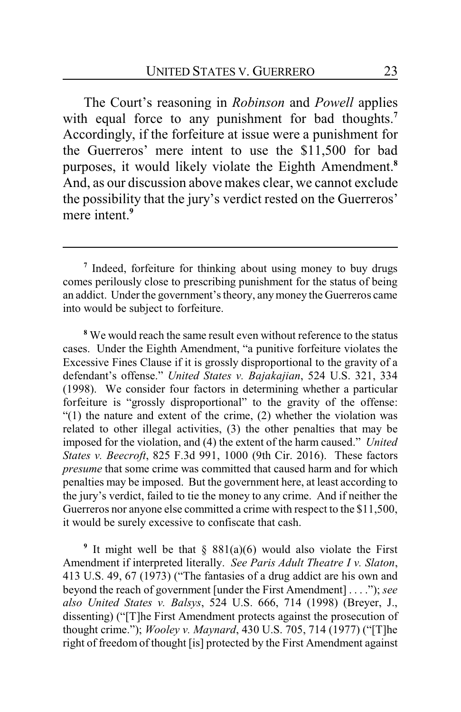The Court's reasoning in *Robinson* and *Powell* applies with equal force to any punishment for bad thoughts.**<sup>7</sup>** Accordingly, if the forfeiture at issue were a punishment for the Guerreros' mere intent to use the \$11,500 for bad purposes, it would likely violate the Eighth Amendment.**<sup>8</sup>** And, as our discussion above makes clear, we cannot exclude the possibility that the jury's verdict rested on the Guerreros' mere intent.<sup>9</sup>

**<sup>8</sup>** We would reach the same result even without reference to the status cases. Under the Eighth Amendment, "a punitive forfeiture violates the Excessive Fines Clause if it is grossly disproportional to the gravity of a defendant's offense." *United States v. Bajakajian*, 524 U.S. 321, 334 (1998). We consider four factors in determining whether a particular forfeiture is "grossly disproportional" to the gravity of the offense: "(1) the nature and extent of the crime, (2) whether the violation was related to other illegal activities, (3) the other penalties that may be imposed for the violation, and (4) the extent of the harm caused." *United States v. Beecroft*, 825 F.3d 991, 1000 (9th Cir. 2016). These factors *presume* that some crime was committed that caused harm and for which penalties may be imposed. But the government here, at least according to the jury's verdict, failed to tie the money to any crime. And if neither the Guerreros nor anyone else committed a crime with respect to the \$11,500, it would be surely excessive to confiscate that cash.

**9** It might well be that § 881(a)(6) would also violate the First Amendment if interpreted literally. *See Paris Adult Theatre I v. Slaton*, 413 U.S. 49, 67 (1973) ("The fantasies of a drug addict are his own and beyond the reach of government [under the First Amendment] . . . ."); *see also United States v. Balsys*, 524 U.S. 666, 714 (1998) (Breyer, J., dissenting) ("[T]he First Amendment protects against the prosecution of thought crime."); *Wooley v. Maynard*, 430 U.S. 705, 714 (1977) ("[T]he right of freedom of thought [is] protected by the First Amendment against

**<sup>7</sup>** Indeed, forfeiture for thinking about using money to buy drugs comes perilously close to prescribing punishment for the status of being an addict. Under the government's theory, anymoney the Guerreros came into would be subject to forfeiture.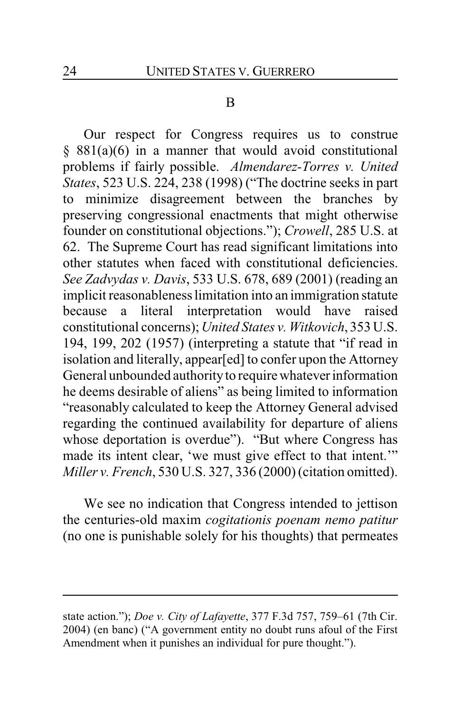#### B

Our respect for Congress requires us to construe  $§ 881(a)(6)$  in a manner that would avoid constitutional problems if fairly possible. *Almendarez-Torres v. United States*, 523 U.S. 224, 238 (1998) ("The doctrine seeks in part to minimize disagreement between the branches by preserving congressional enactments that might otherwise founder on constitutional objections."); *Crowell*, 285 U.S. at 62. The Supreme Court has read significant limitations into other statutes when faced with constitutional deficiencies. *See Zadvydas v. Davis*, 533 U.S. 678, 689 (2001) (reading an implicit reasonableness limitation into an immigration statute because a literal interpretation would have raised constitutional concerns); *United States v. Witkovich*, 353 U.S. 194, 199, 202 (1957) (interpreting a statute that "if read in isolation and literally, appear[ed] to confer upon the Attorney General unbounded authority to require whatever information he deems desirable of aliens" as being limited to information "reasonably calculated to keep the Attorney General advised regarding the continued availability for departure of aliens whose deportation is overdue"). "But where Congress has made its intent clear, 'we must give effect to that intent.'" *Miller v. French*, 530 U.S. 327, 336 (2000) (citation omitted).

We see no indication that Congress intended to jettison the centuries-old maxim *cogitationis poenam nemo patitur* (no one is punishable solely for his thoughts) that permeates

state action."); *Doe v. City of Lafayette*, 377 F.3d 757, 759–61 (7th Cir. 2004) (en banc) ("A government entity no doubt runs afoul of the First Amendment when it punishes an individual for pure thought.").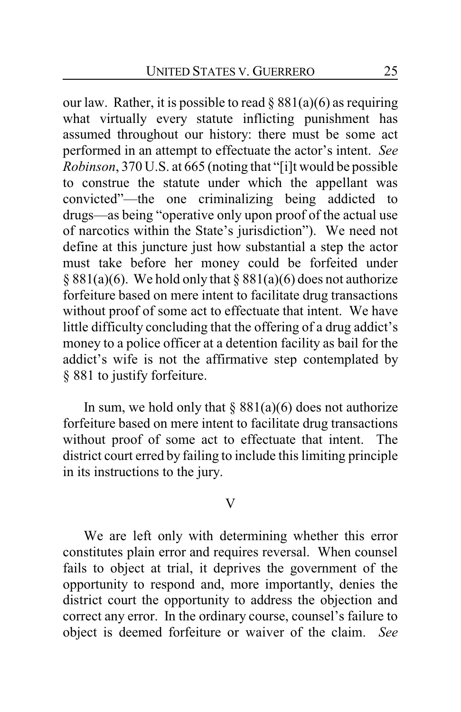our law. Rather, it is possible to read  $\S 881(a)(6)$  as requiring what virtually every statute inflicting punishment has assumed throughout our history: there must be some act performed in an attempt to effectuate the actor's intent. *See Robinson*, 370 U.S. at 665 (noting that "[i]t would be possible to construe the statute under which the appellant was convicted"—the one criminalizing being addicted to drugs—as being "operative only upon proof of the actual use of narcotics within the State's jurisdiction"). We need not define at this juncture just how substantial a step the actor must take before her money could be forfeited under § 881(a)(6). We hold only that § 881(a)(6) does not authorize forfeiture based on mere intent to facilitate drug transactions without proof of some act to effectuate that intent. We have little difficulty concluding that the offering of a drug addict's money to a police officer at a detention facility as bail for the addict's wife is not the affirmative step contemplated by § 881 to justify forfeiture.

In sum, we hold only that  $\S 881(a)(6)$  does not authorize forfeiture based on mere intent to facilitate drug transactions without proof of some act to effectuate that intent. The district court erred by failing to include this limiting principle in its instructions to the jury.

#### V

We are left only with determining whether this error constitutes plain error and requires reversal. When counsel fails to object at trial, it deprives the government of the opportunity to respond and, more importantly, denies the district court the opportunity to address the objection and correct any error. In the ordinary course, counsel's failure to object is deemed forfeiture or waiver of the claim. *See*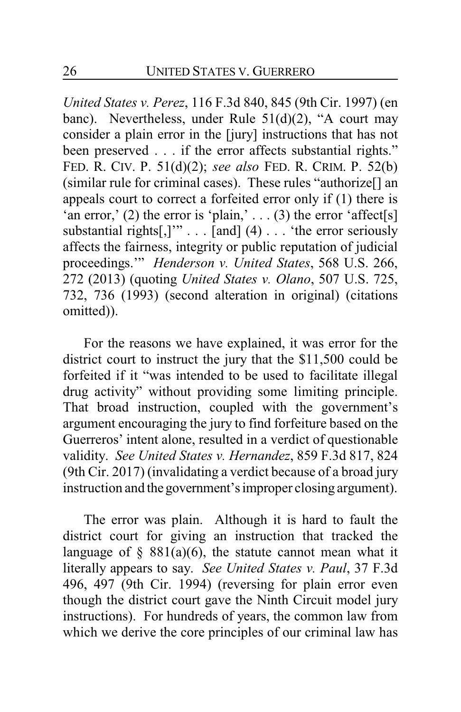*United States v. Perez*, 116 F.3d 840, 845 (9th Cir. 1997) (en banc). Nevertheless, under Rule 51(d)(2), "A court may consider a plain error in the [jury] instructions that has not been preserved . . . if the error affects substantial rights." FED. R. CIV. P. 51(d)(2); *see also* FED. R. CRIM. P. 52(b) (similar rule for criminal cases). These rules "authorize[] an appeals court to correct a forfeited error only if (1) there is 'an error,' (2) the error is 'plain,' . . . (3) the error 'affect[s] substantial rights $[$ , $]$ " $\ldots$  [and] (4)  $\ldots$  'the error seriously affects the fairness, integrity or public reputation of judicial proceedings.'" *Henderson v. United States*, 568 U.S. 266, 272 (2013) (quoting *United States v. Olano*, 507 U.S. 725, 732, 736 (1993) (second alteration in original) (citations omitted)).

For the reasons we have explained, it was error for the district court to instruct the jury that the \$11,500 could be forfeited if it "was intended to be used to facilitate illegal drug activity" without providing some limiting principle. That broad instruction, coupled with the government's argument encouraging the jury to find forfeiture based on the Guerreros' intent alone, resulted in a verdict of questionable validity. *See United States v. Hernandez*, 859 F.3d 817, 824 (9th Cir. 2017) (invalidating a verdict because of a broad jury instruction and the government'simproper closing argument).

The error was plain. Although it is hard to fault the district court for giving an instruction that tracked the language of  $\S$  881(a)(6), the statute cannot mean what it literally appears to say. *See United States v. Paul*, 37 F.3d 496, 497 (9th Cir. 1994) (reversing for plain error even though the district court gave the Ninth Circuit model jury instructions). For hundreds of years, the common law from which we derive the core principles of our criminal law has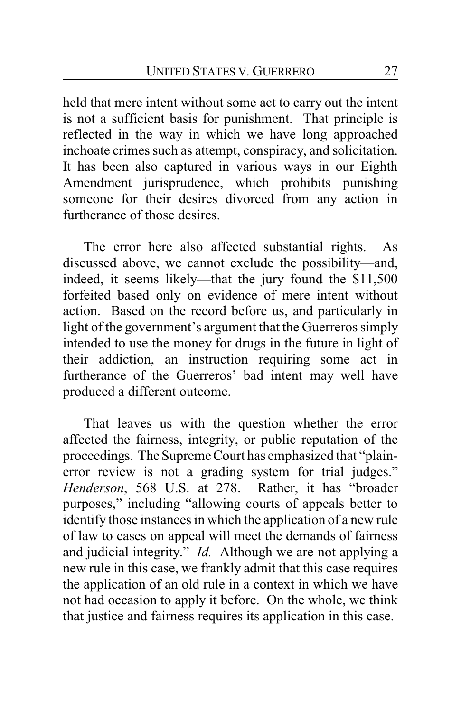held that mere intent without some act to carry out the intent is not a sufficient basis for punishment. That principle is reflected in the way in which we have long approached inchoate crimes such as attempt, conspiracy, and solicitation. It has been also captured in various ways in our Eighth Amendment jurisprudence, which prohibits punishing someone for their desires divorced from any action in furtherance of those desires.

The error here also affected substantial rights. As discussed above, we cannot exclude the possibility—and, indeed, it seems likely—that the jury found the \$11,500 forfeited based only on evidence of mere intent without action. Based on the record before us, and particularly in light of the government's argument that the Guerreros simply intended to use the money for drugs in the future in light of their addiction, an instruction requiring some act in furtherance of the Guerreros' bad intent may well have produced a different outcome.

That leaves us with the question whether the error affected the fairness, integrity, or public reputation of the proceedings. The Supreme Court has emphasized that "plainerror review is not a grading system for trial judges." *Henderson*, 568 U.S. at 278. Rather, it has "broader purposes," including "allowing courts of appeals better to identify those instances in which the application of a new rule of law to cases on appeal will meet the demands of fairness and judicial integrity." *Id.* Although we are not applying a new rule in this case, we frankly admit that this case requires the application of an old rule in a context in which we have not had occasion to apply it before. On the whole, we think that justice and fairness requires its application in this case.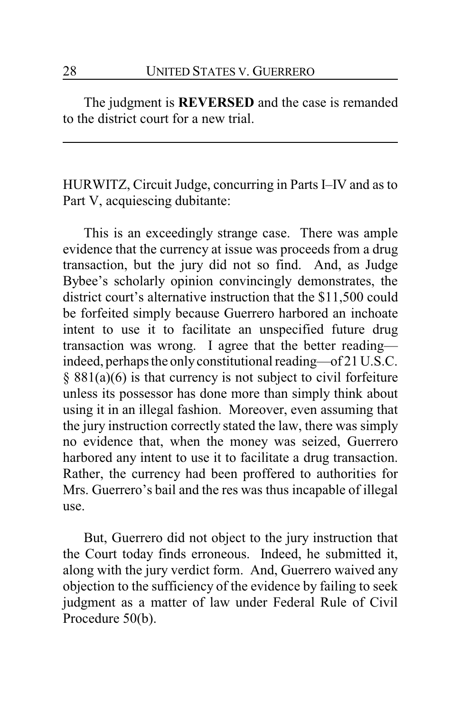The judgment is **REVERSED** and the case is remanded to the district court for a new trial.

HURWITZ, Circuit Judge, concurring in Parts I–IV and as to Part V, acquiescing dubitante:

This is an exceedingly strange case. There was ample evidence that the currency at issue was proceeds from a drug transaction, but the jury did not so find. And, as Judge Bybee's scholarly opinion convincingly demonstrates, the district court's alternative instruction that the \$11,500 could be forfeited simply because Guerrero harbored an inchoate intent to use it to facilitate an unspecified future drug transaction was wrong. I agree that the better reading indeed, perhaps the onlyconstitutional reading—of 21 U.S.C. § 881(a)(6) is that currency is not subject to civil forfeiture unless its possessor has done more than simply think about using it in an illegal fashion. Moreover, even assuming that the jury instruction correctly stated the law, there was simply no evidence that, when the money was seized, Guerrero harbored any intent to use it to facilitate a drug transaction. Rather, the currency had been proffered to authorities for Mrs. Guerrero's bail and the res was thus incapable of illegal use.

But, Guerrero did not object to the jury instruction that the Court today finds erroneous. Indeed, he submitted it, along with the jury verdict form. And, Guerrero waived any objection to the sufficiency of the evidence by failing to seek judgment as a matter of law under Federal Rule of Civil Procedure 50(b).